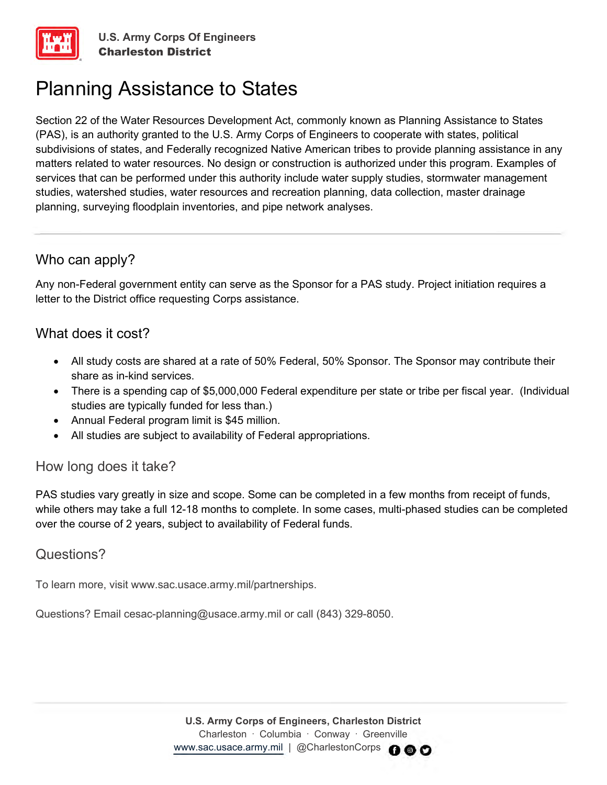# Planning Assistance to States

Section 22 of the Water Resources Development Act, commonly known as Planning Assistance to States (PAS), is an authority granted to the U.S. Army Corps of Engineers to cooperate with states, political subdivisions of states, and Federally recognized Native American tribes to provide planning assistance in any matters related to water resources. No design or construction is authorized under this program. Examples of services that can be performed under this authority include water supply studies, stormwater management studies, watershed studies, water resources and recreation planning, data collection, master drainage planning, surveying floodplain inventories, and pipe network analyses.

# Who can apply?

Any non-Federal government entity can serve as the Sponsor for a PAS study. Project initiation requires a letter to the District office requesting Corps assistance.

## What does it cost?

- All study costs are shared at a rate of 50% Federal, 50% Sponsor. The Sponsor may contribute their share as in-kind services.
- There is a spending cap of \$5,000,000 Federal expenditure per state or tribe per fiscal year. (Individual studies are typically funded for less than.)
- Annual Federal program limit is \$45 million.
- All studies are subject to availability of Federal appropriations.

### How long does it take?

PAS studies vary greatly in size and scope. Some can be completed in a few months from receipt of funds, while others may take a full 12-18 months to complete. In some cases, multi-phased studies can be completed over the course of 2 years, subject to availability of Federal funds.

### Questions?

To learn more, visit www.sac.usace.army.mil/partnerships.

Questions? Email cesac-planning@usace.army.mil or call (843) 329-8050.